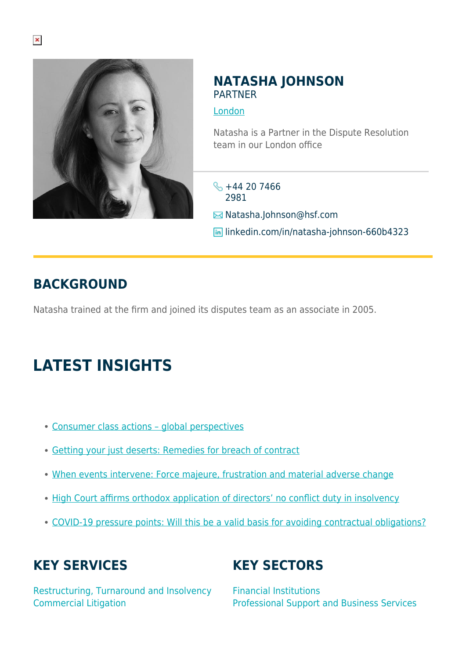

#### **NATASHA JOHNSON** PARTNER

[London](https://www.herbertsmithfreehills.com/where-we-work/london)

Natasha is a Partner in the Dispute Resolution team in our London office

- $\frac{1}{2}$  +44 20 7466 2981
- **E**Natasha.Johnson@hsf.com
- **in** linkedin.com/in/natasha-johnson-660b4323

## **BACKGROUND**

Natasha trained at the firm and joined its disputes team as an associate in 2005.

# **LATEST INSIGHTS**

- [Consumer class actions global perspectives](https://sites-herbertsmithfreehills.vuturevx.com/20/24346/landing-pages/future-of-consumer-march-2021.pdf)
- [Getting your just deserts: Remedies for breach of contract](https://hsfnotes.com/litigation/wp-content/uploads/sites/7/2021/02/Contract-disputes-practical-guide-series-Guide-9.pdf)
- [When events intervene: Force majeure, frustration and material adverse change](https://hsfnotes.com/litigation/wp-content/uploads/sites/7/2020/09/Contract-disputes-practical-guides-Issue-7-1-Oct-2020.pdf)
- [High Court affirms orthodox application of directors' no conflict duty in insolvency](https://hsfnotes.com/litigation/2020/04/21/high-court-affirms-orthodox-application-of-directors-no-conflict-duty-in-insolvency/)
- [COVID-19 pressure points: Will this be a valid basis for avoiding contractual obligations?](https://hsfnotes.com/litigation/2020/03/25/covid-19-pressure-points-will-this-be-a-valid-basis-for-avoiding-contractual-obligations/)

## **KEY SERVICES**

Restructuring, Turnaround and Insolvency Commercial Litigation

# **KEY SECTORS**

Financial Institutions Professional Support and Business Services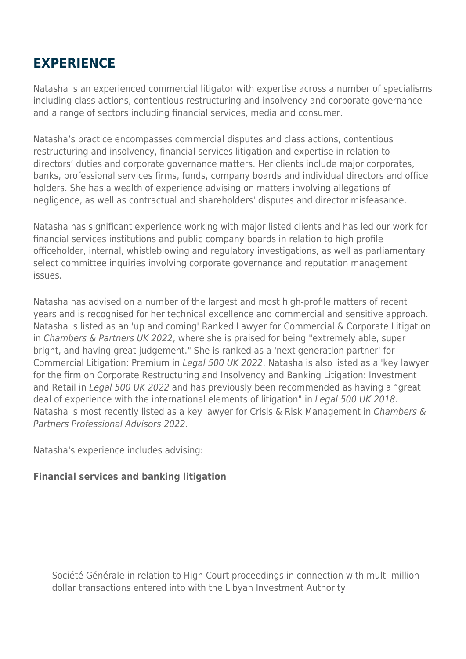### **EXPERIENCE**

Natasha is an experienced commercial litigator with expertise across a number of specialisms including class actions, contentious restructuring and insolvency and corporate governance and a range of sectors including financial services, media and consumer.

Natasha's practice encompasses commercial disputes and class actions, contentious restructuring and insolvency, financial services litigation and expertise in relation to directors' duties and corporate governance matters. Her clients include major corporates, banks, professional services firms, funds, company boards and individual directors and office holders. She has a wealth of experience advising on matters involving allegations of negligence, as well as contractual and shareholders' disputes and director misfeasance.

Natasha has significant experience working with major listed clients and has led our work for financial services institutions and public company boards in relation to high profile officeholder, internal, whistleblowing and regulatory investigations, as well as parliamentary select committee inquiries involving corporate governance and reputation management issues.

Natasha has advised on a number of the largest and most high-profile matters of recent years and is recognised for her technical excellence and commercial and sensitive approach. Natasha is listed as an 'up and coming' Ranked Lawyer for Commercial & Corporate Litigation in Chambers & Partners UK 2022, where she is praised for being "extremely able, super bright, and having great judgement." She is ranked as a 'next generation partner' for Commercial Litigation: Premium in Legal 500 UK 2022. Natasha is also listed as a 'key lawyer' for the firm on Corporate Restructuring and Insolvency and Banking Litigation: Investment and Retail in Legal 500 UK 2022 and has previously been recommended as having a "great deal of experience with the international elements of litigation" in Legal 500 UK 2018. Natasha is most recently listed as a key lawyer for Crisis & Risk Management in Chambers & Partners Professional Advisors 2022.

Natasha's experience includes advising:

#### **Financial services and banking litigation**

Société Générale in relation to High Court proceedings in connection with multi-million dollar transactions entered into with the Libyan Investment Authority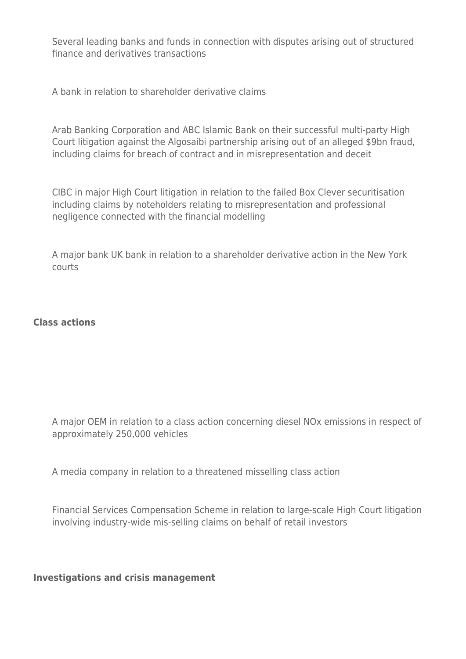Several leading banks and funds in connection with disputes arising out of structured finance and derivatives transactions

A bank in relation to shareholder derivative claims

Arab Banking Corporation and ABC Islamic Bank on their successful multi-party High Court litigation against the Algosaibi partnership arising out of an alleged \$9bn fraud, including claims for breach of contract and in misrepresentation and deceit

CIBC in major High Court litigation in relation to the failed Box Clever securitisation including claims by noteholders relating to misrepresentation and professional negligence connected with the financial modelling

A major bank UK bank in relation to a shareholder derivative action in the New York courts

#### **Class actions**

A major OEM in relation to a class action concerning diesel NOx emissions in respect of approximately 250,000 vehicles

A media company in relation to a threatened misselling class action

Financial Services Compensation Scheme in relation to large-scale High Court litigation involving industry-wide mis-selling claims on behalf of retail investors

**Investigations and crisis management**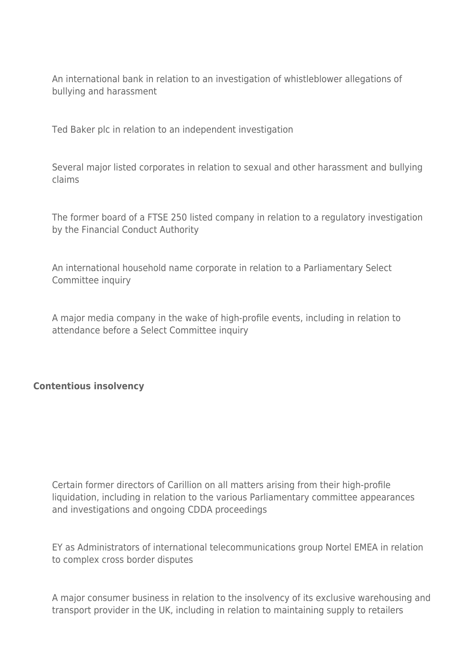An international bank in relation to an investigation of whistleblower allegations of bullying and harassment

Ted Baker plc in relation to an independent investigation

Several major listed corporates in relation to sexual and other harassment and bullying claims

The former board of a FTSE 250 listed company in relation to a regulatory investigation by the Financial Conduct Authority

An international household name corporate in relation to a Parliamentary Select Committee inquiry

A major media company in the wake of high-profile events, including in relation to attendance before a Select Committee inquiry

#### **Contentious insolvency**

Certain former directors of Carillion on all matters arising from their high-profile liquidation, including in relation to the various Parliamentary committee appearances and investigations and ongoing CDDA proceedings

EY as Administrators of international telecommunications group Nortel EMEA in relation to complex cross border disputes

A major consumer business in relation to the insolvency of its exclusive warehousing and transport provider in the UK, including in relation to maintaining supply to retailers